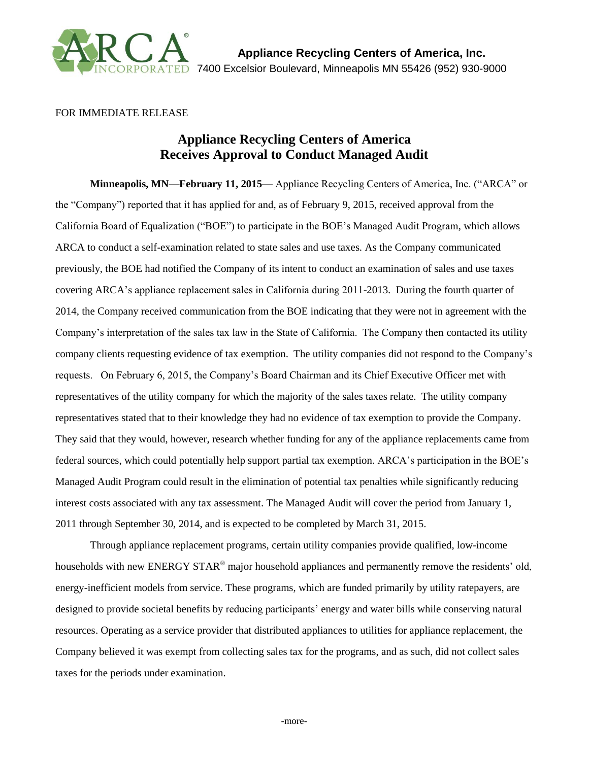

## FOR IMMEDIATE RELEASE

## **Appliance Recycling Centers of America Receives Approval to Conduct Managed Audit**

**Minneapolis, MN—February 11, 2015—** Appliance Recycling Centers of America, Inc. ("ARCA" or the "Company") reported that it has applied for and, as of February 9, 2015, received approval from the California Board of Equalization ("BOE") to participate in the BOE's Managed Audit Program, which allows ARCA to conduct a self-examination related to state sales and use taxes. As the Company communicated previously, the BOE had notified the Company of its intent to conduct an examination of sales and use taxes covering ARCA's appliance replacement sales in California during 2011-2013. During the fourth quarter of 2014, the Company received communication from the BOE indicating that they were not in agreement with the Company's interpretation of the sales tax law in the State of California. The Company then contacted its utility company clients requesting evidence of tax exemption. The utility companies did not respond to the Company's requests. On February 6, 2015, the Company's Board Chairman and its Chief Executive Officer met with representatives of the utility company for which the majority of the sales taxes relate. The utility company representatives stated that to their knowledge they had no evidence of tax exemption to provide the Company. They said that they would, however, research whether funding for any of the appliance replacements came from federal sources, which could potentially help support partial tax exemption. ARCA's participation in the BOE's Managed Audit Program could result in the elimination of potential tax penalties while significantly reducing interest costs associated with any tax assessment. The Managed Audit will cover the period from January 1, 2011 through September 30, 2014, and is expected to be completed by March 31, 2015.

Through appliance replacement programs, certain utility companies provide qualified, low-income households with new ENERGY STAR<sup>®</sup> major household appliances and permanently remove the residents' old, energy-inefficient models from service. These programs, which are funded primarily by utility ratepayers, are designed to provide societal benefits by reducing participants' energy and water bills while conserving natural resources. Operating as a service provider that distributed appliances to utilities for appliance replacement, the Company believed it was exempt from collecting sales tax for the programs, and as such, did not collect sales taxes for the periods under examination.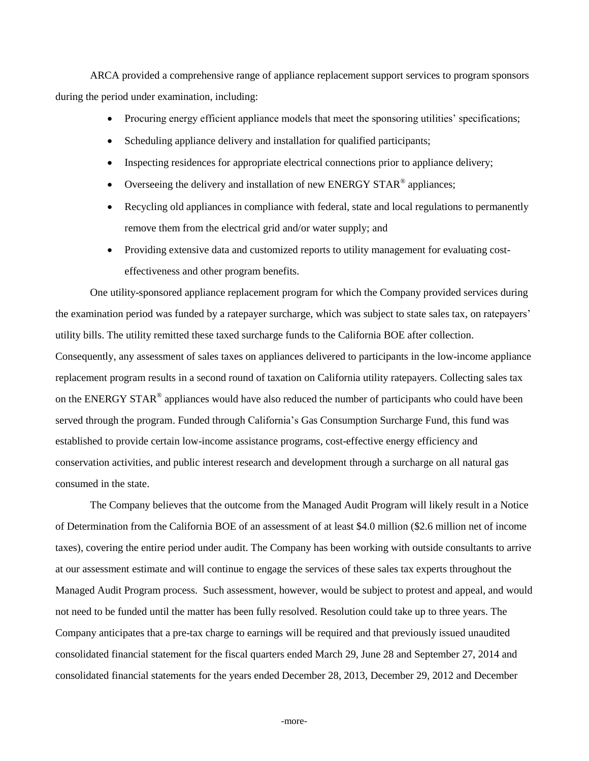ARCA provided a comprehensive range of appliance replacement support services to program sponsors during the period under examination, including:

- Procuring energy efficient appliance models that meet the sponsoring utilities' specifications;
- Scheduling appliance delivery and installation for qualified participants;
- Inspecting residences for appropriate electrical connections prior to appliance delivery;
- Overseeing the delivery and installation of new ENERGY STAR® appliances;
- Recycling old appliances in compliance with federal, state and local regulations to permanently remove them from the electrical grid and/or water supply; and
- Providing extensive data and customized reports to utility management for evaluating costeffectiveness and other program benefits.

One utility-sponsored appliance replacement program for which the Company provided services during the examination period was funded by a ratepayer surcharge, which was subject to state sales tax, on ratepayers' utility bills. The utility remitted these taxed surcharge funds to the California BOE after collection. Consequently, any assessment of sales taxes on appliances delivered to participants in the low-income appliance replacement program results in a second round of taxation on California utility ratepayers. Collecting sales tax on the ENERGY STAR<sup>®</sup> appliances would have also reduced the number of participants who could have been served through the program. Funded through California's Gas Consumption Surcharge Fund, this fund was established to provide certain low-income assistance programs, cost-effective energy efficiency and conservation activities, and public interest research and development through a surcharge on all natural gas consumed in the state.

The Company believes that the outcome from the Managed Audit Program will likely result in a Notice of Determination from the California BOE of an assessment of at least \$4.0 million (\$2.6 million net of income taxes), covering the entire period under audit. The Company has been working with outside consultants to arrive at our assessment estimate and will continue to engage the services of these sales tax experts throughout the Managed Audit Program process. Such assessment, however, would be subject to protest and appeal, and would not need to be funded until the matter has been fully resolved. Resolution could take up to three years. The Company anticipates that a pre-tax charge to earnings will be required and that previously issued unaudited consolidated financial statement for the fiscal quarters ended March 29, June 28 and September 27, 2014 and consolidated financial statements for the years ended December 28, 2013, December 29, 2012 and December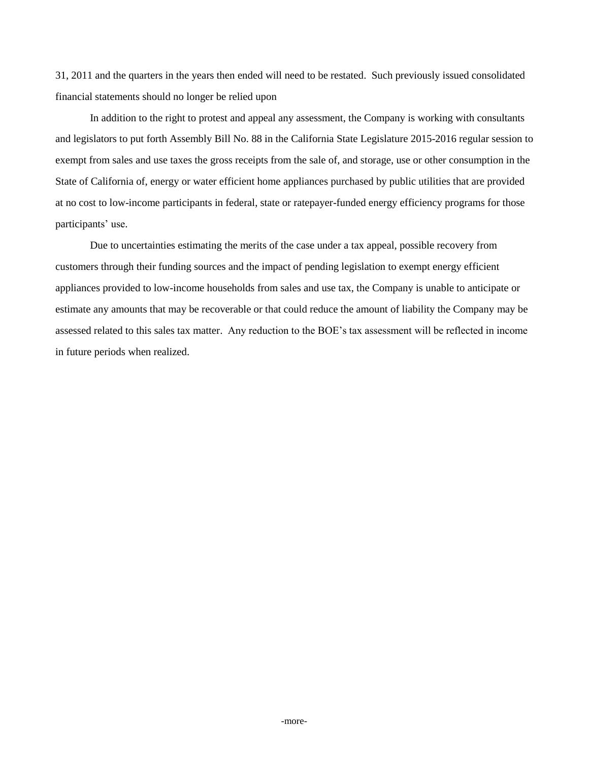31, 2011 and the quarters in the years then ended will need to be restated. Such previously issued consolidated financial statements should no longer be relied upon

In addition to the right to protest and appeal any assessment, the Company is working with consultants and legislators to put forth Assembly Bill No. 88 in the California State Legislature 2015-2016 regular session to exempt from sales and use taxes the gross receipts from the sale of, and storage, use or other consumption in the State of California of, energy or water efficient home appliances purchased by public utilities that are provided at no cost to low-income participants in federal, state or ratepayer-funded energy efficiency programs for those participants' use.

Due to uncertainties estimating the merits of the case under a tax appeal, possible recovery from customers through their funding sources and the impact of pending legislation to exempt energy efficient appliances provided to low-income households from sales and use tax, the Company is unable to anticipate or estimate any amounts that may be recoverable or that could reduce the amount of liability the Company may be assessed related to this sales tax matter. Any reduction to the BOE's tax assessment will be reflected in income in future periods when realized.